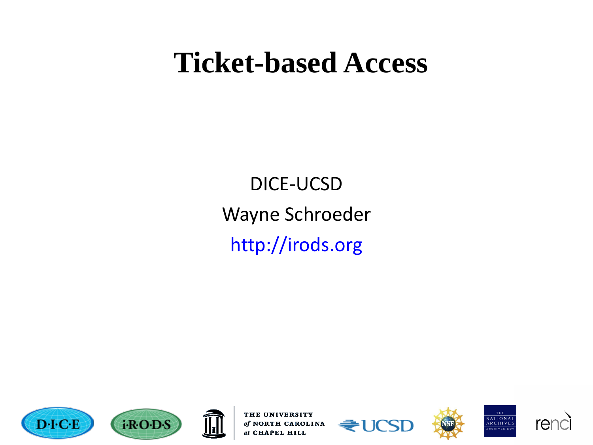#### **Ticket-based Access**

DICE-UCSD Wayne Schroeder http://irods.org











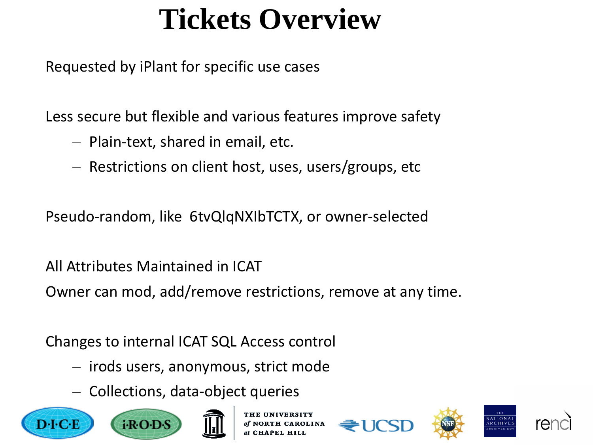# **Tickets Overview**

Requested by iPlant for specific use cases

Less secure but flexible and various features improve safety

- Plain-text, shared in email, etc.
- Restrictions on client host, uses, users/groups, etc

Pseudo-random, like 6tvQlqNXIbTCTX, or owner-selected

All Attributes Maintained in ICAT

Owner can mod, add/remove restrictions, remove at any time.

Changes to internal ICAT SQL Access control

- irods users, anonymous, strict mode
- Collections, data-object queries





**CAROLINA** 





 $ATIONAI$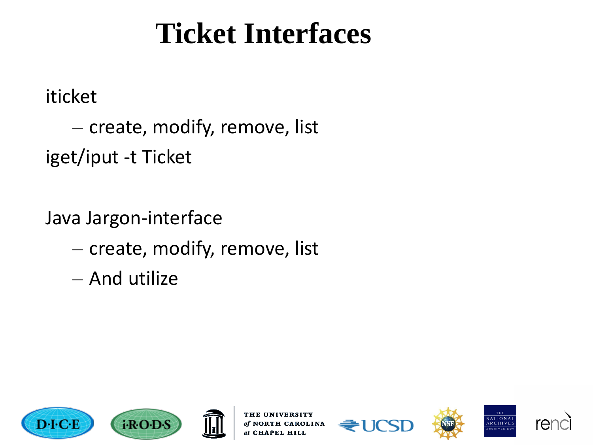### **Ticket Interfaces**

iticket

– create, modify, remove, list iget/iput -t Ticket

Java Jargon-interface

- create, modify, remove, list
- And utilize





**UNIVERSITY** of NORTH CAROLINA at CHAPEL HILL







NATIONAL<br>ARCHIVES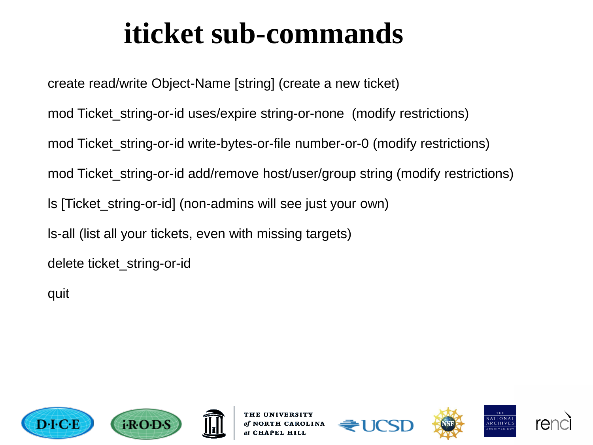# **iticket sub-commands**

create read/write Object-Name [string] (create a new ticket) mod Ticket\_string-or-id uses/expire string-or-none (modify restrictions) mod Ticket\_string-or-id write-bytes-or-file number-or-0 (modify restrictions) mod Ticket string-or-id add/remove host/user/group string (modify restrictions) ls [Ticket\_string-or-id] (non-admins will see just your own) ls-all (list all your tickets, even with missing targets) delete ticket\_string-or-id

quit





TH CAROLINA





VATIONAL

**RCHIVE** 

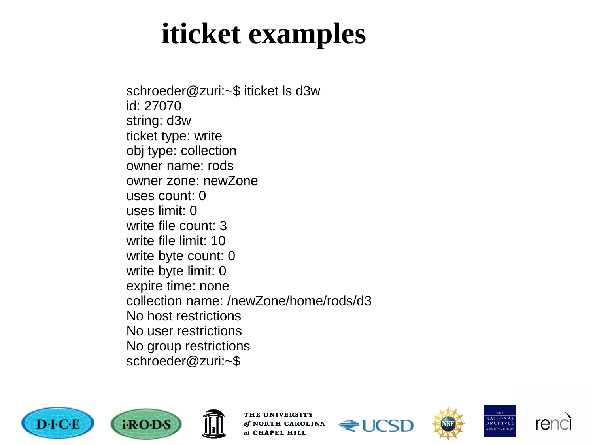#### **iticket examples**

schroeder@zuri:~\$ iticket ls d3w id: 27070 string: d3w ticket type: write obj type: collection owner name: rods owner zone: newZone uses count: 0 uses limit: 0 write file count: 3 write file limit: 10 write byte count: 0 write byte limit: 0 expire time: none collection name: /newZone/home/rods/d3 No host restrictions No user restrictions No group restrictions schroeder@zuri:~\$









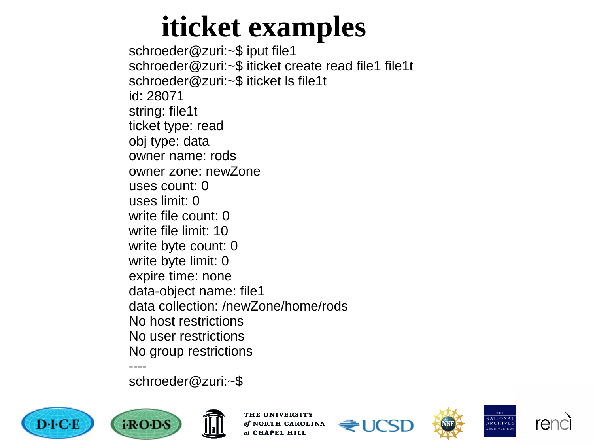### **iticket examples**

schroeder@zuri:~\$ iput file1 schroeder@zuri:~\$ iticket create read file1 file1t schroeder@zuri:~\$ iticket ls file1t id: 28071 string: file1t ticket type: read obj type: data owner name: rods owner zone: newZone uses count: 0 uses limit: 0 write file count: 0 write file limit: 10 write byte count: 0 write byte limit: 0 expire time: none data -object name: file1 data collection: /newZone/home/rods No host restrictions No user restrictions No group restrictions ----

schroeder@zuri:~\$











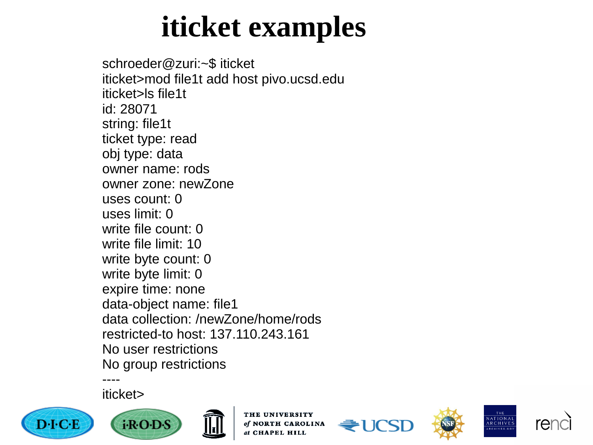### **iticket examples**

schroeder@zuri:~\$ iticket iticket>mod file1t add host pivo.ucsd.edu iticket>ls file1t id: 28071 string: file1t ticket type: read obj type: data owner name: rods owner zone: newZone uses count: 0 uses limit: 0 write file count: 0 write file limit: 10 write byte count: 0 write byte limit: 0 expire time: none data -object name: file1 data collection: /newZone/home/rods restricted -to host: 137.110.243.161 No user restrictions No group restrictions ----

iticket>





THE UNIVERSITY of NORTH CAROLINA at CHAPEL HILL







THE

NATIONAL<br>ARCHIVES

RCHIVES.GO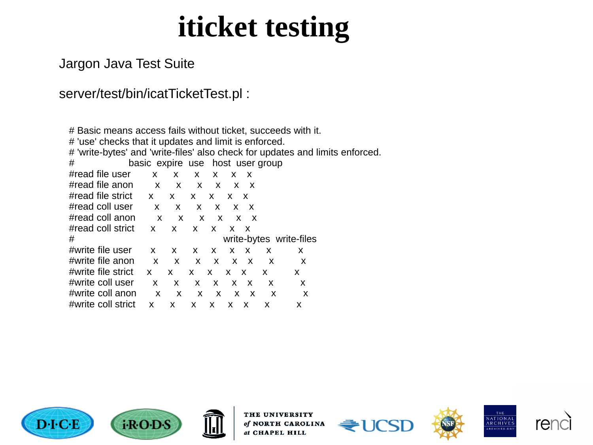#### iticket testing

#### Jargon Java Test Suite

#### server/test/bin/icatTicketTest.pl:

| # Basic means access fails without ticket, succeeds with it.                  |                         |              |              |                 |                            |                               |                                  |    |  |
|-------------------------------------------------------------------------------|-------------------------|--------------|--------------|-----------------|----------------------------|-------------------------------|----------------------------------|----|--|
| # 'use' checks that it updates and limit is enforced.                         |                         |              |              |                 |                            |                               |                                  |    |  |
| # 'write-bytes' and 'write-files' also check for updates and limits enforced. |                         |              |              |                 |                            |                               |                                  |    |  |
| #                                                                             |                         |              |              |                 |                            |                               | basic expire use host user group |    |  |
| #read file user                                                               | X —                     | X.           | X.           | X.              | X.                         | X                             |                                  |    |  |
| #read file anon                                                               | $\mathsf{X}$            | X X X X X    |              |                 |                            |                               |                                  |    |  |
| #read file strict $\mathsf{x}$                                                |                         | $\mathsf{X}$ | $\mathsf{X}$ | X —             | x x                        |                               |                                  |    |  |
| #read coll user                                                               | $\mathsf{X}$            | $\mathsf{X}$ | X.           | $\mathsf{X}$    |                            | x x                           |                                  |    |  |
| #read coll anon                                                               | $\mathsf{X}$            | $\mathsf{X}$ | $\mathsf{X}$ | $\mathsf{X}$    |                            | $\mathsf{X} \quad \mathsf{X}$ |                                  |    |  |
| #read coll strict                                                             | $\mathsf{X}$            | $\mathsf{X}$ |              | $X$ $X$         | x x                        |                               |                                  |    |  |
| #                                                                             | write-bytes write-files |              |              |                 |                            |                               |                                  |    |  |
| #write file user                                                              | X.                      | X.           | X —          | X —             |                            | $X$ $X$                       | X                                | X. |  |
| #write file anon                                                              | $\mathsf{x}$            | $\mathbf{x}$ |              | $X$ $X$ $X$ $X$ |                            |                               | $\mathsf{X}$                     | X  |  |
| #write file strict                                                            | $\mathsf{x}$            | X.           | X —          | X —             | $X$ $X$                    |                               | X                                | X. |  |
| #write coll user                                                              | $\mathsf{x}$            | $\mathsf{X}$ |              | $X$ $X$ $X$ $X$ |                            |                               | X                                | X  |  |
| #write coll anon                                                              | $\mathsf{x}$            | $\mathsf{X}$ | X.           |                 | $\times$ $\times$ $\times$ |                               | X                                | X  |  |
| #write coll strict                                                            | x                       | X.           | X X          |                 | X X                        |                               | X                                | х  |  |









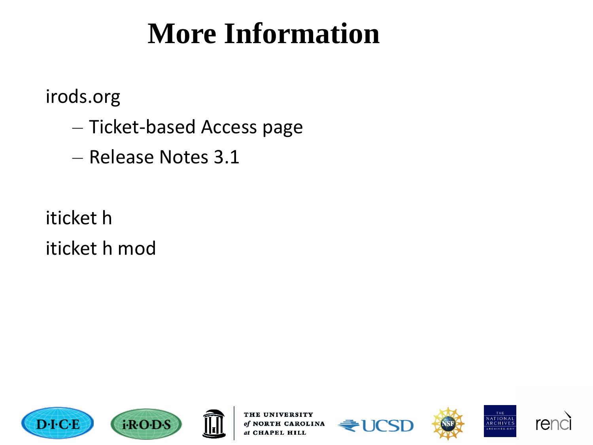### **More Information**

irods.org

- Ticket-based Access page
- Release Notes 3.1

iticket h iticket h mod





**TH UNIVERSITY** of NORTH CAROLINA at CHAPEL HILL







THE